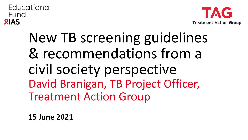

# New TB screening guidelines & recommendations from a civil society perspective David Branigan, TB Project Officer, Treatment Action Group

**15 June 2021**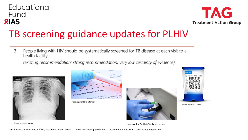

### TB screening guidance updates for PLHIV

People living with HIV should be systematically screened for TB disease at each visit to a 3 health facility

(existing recommendation: strong recommendation, very low certainty of evidence).









Image copyright Cepheid

Image copyright qure.ai

Image copyright The Hindu/Special Arrangement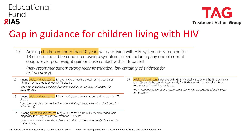

## Gap in guidance for children living with HIV

Among children younger than 10 years who are living with HIV, systematic screening for 17 TB disease should be conducted using a symptom screen including any one of current cough, fever, poor weight gain or close contact with a TB patient

(new recommendation: strong recommendation, low certainty of evidence for test accuracy).

- 12 Among adults and adolescents living with HIV, C-reactive protein using a cut-off of >5mg/L may be used to screen for TB disease (new recommendation: conditional recommendation, low certainty of evidence for test accuracy).
- Among adults and adolescents living with HIV, chest X-ray may be used to screen for TB 13 disease

(new recommendation: conditional recommendation, moderate certainty of evidence for test accuracy).

14 Among adults and adolescents living with HIV, molecular WHO-recommended rapid diagnostic tests may be used to screen for TB disease

(new recommendation: conditional recommendation, moderate certainty of evidence for test accuracy).

Adult and adolescent inpatients with HIV in medical wards where the TB prevalence 15 is > 10% should be tested systematically for TB disease with a molecular WHOrecommended rapid diagnostic test

(new recommendation: strong recommendation, moderate certainty of evidence for test accuracy).

David Branigan, TB Project Officer, Treatment Action Group New TB screening guidelines & recommendations from a civil society perspective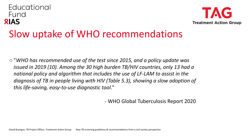#### Educational Fund **RIAS Treatment Action Group** Slow uptake of WHO recommendations

○ "*WHO has recommended use of the test since 2015, and a policy update was issued in 2019 (10). Among the 30 high burden TB/HIV countries, only 13 had a national policy and algorithm that includes the use of LF-LAM to assist in the diagnosis of TB in people living with HIV (Table 5.3), showing a slow adoption of this life-saving, easy-to-use diagnostic tool*."

- WHO Global Tuberculosis Report 2020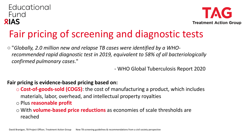

### Fair pricing of screening and diagnostic tests

○ "*Globally, 2.0 million new and relapse TB cases were identified by a WHOrecommended rapid diagnostic test in 2019, equivalent to 58% of all bacteriologically confirmed pulmonary cases*."

- WHO Global Tuberculosis Report 2020

#### **Fair pricing is evidence-based pricing based on:**

o **Cost-of-goods-sold (COGS)**: the cost of manufacturing a product, which includes materials, labor, overhead, and intellectual property royalties

o Plus **reasonable profit**

o With **volume-based price reductions** as economies of scale thresholds are reached